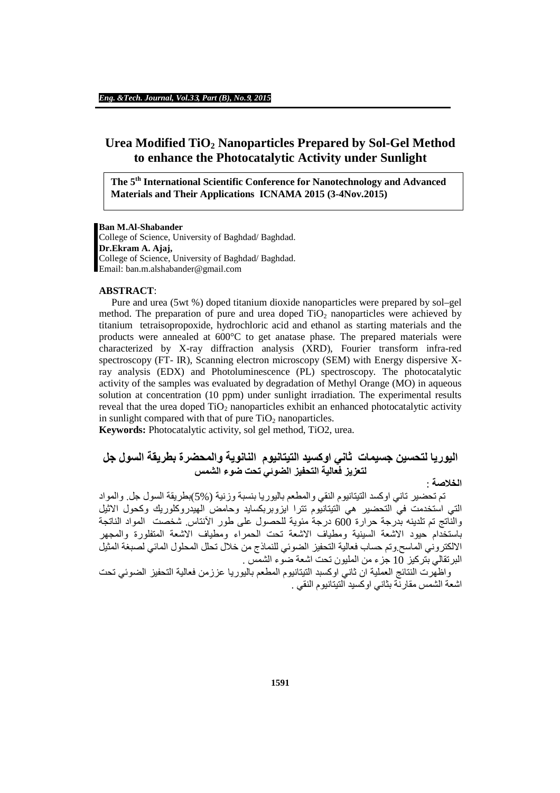# **Urea Modified TiO<sup>2</sup> Nanoparticles Prepared by Sol-Gel Method to enhance the Photocatalytic Activity under Sunlight**

**The 5th International Scientific Conference for Nanotechnology and Advanced Materials and Their Applications ICNAMA 2015 (3-4Nov.2015)**

#### **Ban M.Al-Shabander**

College of Science, University of Baghdad/ Baghdad. **Dr.Ekram A. Ajaj,** College of Science, University of Baghdad/ Baghdad. Email: ban.m.alshabander@gmail.com

#### **ABSTRACT**:

Pure and urea (5wt %) doped titanium dioxide nanoparticles were prepared by sol–gel method. The preparation of pure and urea doped  $TiO<sub>2</sub>$  nanoparticles were achieved by titanium tetraisopropoxide, hydrochloric acid and ethanol as starting materials and the products were annealed at 600°C to get anatase phase. The prepared materials were characterized by X-ray diffraction analysis (XRD), Fourier transform infra-red spectroscopy (FT- IR), Scanning electron microscopy (SEM) with Energy dispersive Xray analysis (EDX) and Photoluminescence (PL) spectroscopy. The photocatalytic activity of the samples was evaluated by degradation of Methyl Orange (MO) in aqueous solution at concentration (10 ppm) under sunlight irradiation. The experimental results reveal that the urea doped  $TiO<sub>2</sub>$  nanoparticles exhibit an enhanced photocatalytic activity in sunlight compared with that of pure  $TiO<sub>2</sub>$  nanoparticles.

**Keywords:** Photocatalytic activity, sol gel method, TiO2, urea.

# **الیوریا لتحسین جسیمات ثاني اوكسید التیتانیوم النانویة والمحضرة بطریقة السول جل لتعزیز فعالیة التحفیز الضوئي تحت ضوء الشمس**

## **الخلاصة** :

تم تحضیر تاني اوكسد التیتانیوم النقي والمطعم بالیوریا بنسبة وزنیة (5%)بطریقة السول جل. والمواد التي استخدمت في التحضیر ھي التیتانیوم تترا ایزوبربكساید وحامض الھیدروكلوریك وكحول الاثیل والناتج تم تلدینھ بدرجة حرارة 600 درجة مئویة للحصول على طور الآنتاس. شخصت المواد الناتجة باستخدام حیود الاشعة السینیة ومطیاف الاشعة تحت الحمراء ومطیاف الاشعة المتفلورة والمجھر الالكتروني الماسح.وتم حساب فعالیة التحفیز الضوئي للنماذج من خلال تحلل المحلول المائي لصبغة المثیل البرتقالي بتركیز 10 جزء من الملیون تحت اشعة ضوء الشمس .

واظھرت النتائج العملیة ان ثاني اوكسبد التیتانیوم المطعم بالیوریا عززمن فعالیة التحفیز الضوئي تحت اشعة الشمس مقارنة بثاني اوكسید التیتانیوم النقي .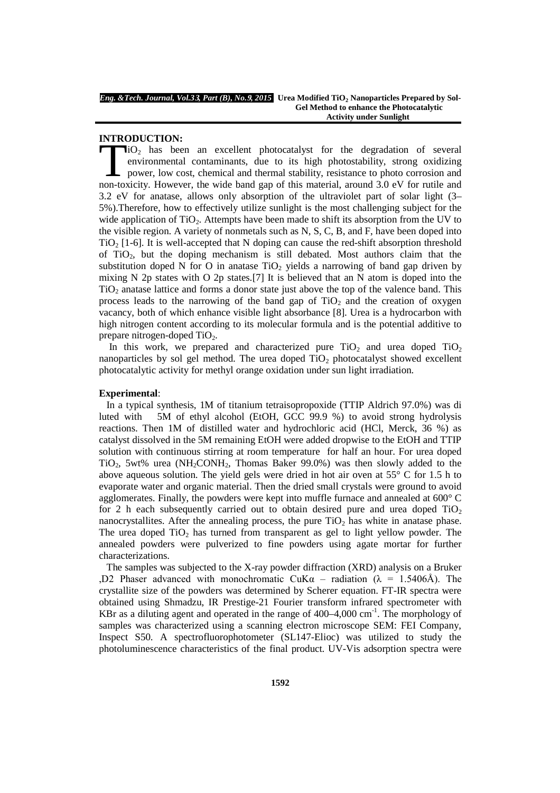# **INTRODUCTION:**

 $\mathbf{I}i\mathbf{O}_2$  has been an excellent photocatalyst for the degradation of several environmental contaminants, due to its high photostability, strong oxidizing power, low cost, chemical and thermal stability, resistance to photo corrosion and non-toxicity.<br>However, the accellent photocatalyst for the degradation of several<br>environmental contaminants, due to its high photostability, strong oxidizing<br>power, low cost, chemical and thermal stability, resistance to 3.2 eV for anatase, allows only absorption of the ultraviolet part of solar light (3– 5%).Therefore, how to effectively utilize sunlight is the most challenging subject for the wide application of  $TiO<sub>2</sub>$ . Attempts have been made to shift its absorption from the UV to the visible region. A variety of nonmetals such as N, S, C, B, and F, have been doped into  $TiO<sub>2</sub>$  [1-6]. It is well-accepted that N doping can cause the red-shift absorption threshold of TiO2, but the doping mechanism is still debated. Most authors claim that the substitution doped N for O in anatase TiO<sub>2</sub> yields a narrowing of band gap driven by mixing N 2p states with O 2p states.[7] It is believed that an N atom is doped into the TiO<sup>2</sup> anatase lattice and forms a donor state just above the top of the valence band. This process leads to the narrowing of the band gap of  $TiO<sub>2</sub>$  and the creation of oxygen vacancy, both of which enhance visible light absorbance [8]. Urea is a hydrocarbon with high nitrogen content according to its molecular formula and is the potential additive to prepare nitrogen-doped  $TiO<sub>2</sub>$ .

In this work, we prepared and characterized pure  $TiO<sub>2</sub>$  and urea doped  $TiO<sub>2</sub>$ nanoparticles by sol gel method. The urea doped  $TiO<sub>2</sub>$  photocatalyst showed excellent photocatalytic activity for methyl orange oxidation under sun light irradiation.

#### **Experimental**:

In a typical synthesis, 1M of titanium tetraisopropoxide (TTIP Aldrich 97.0%) was di luted with 5M of ethyl alcohol (EtOH, GCC 99.9 %) to avoid strong hydrolysis reactions. Then 1M of distilled water and hydrochloric acid (HCl, Merck, 36 %) as catalyst dissolved in the 5M remaining EtOH were added dropwise to the EtOH and TTIP solution with continuous stirring at room temperature for half an hour. For urea doped  $TiO<sub>2</sub>$ , 5wt% urea (NH<sub>2</sub>CONH<sub>2</sub>, Thomas Baker 99.0%) was then slowly added to the above aqueous solution. The yield gels were dried in hot air oven at  $55^{\circ}$  C for 1.5 h to evaporate water and organic material. Then the dried small crystals were ground to avoid agglomerates. Finally, the powders were kept into muffle furnace and annealed at 600° C for 2 h each subsequently carried out to obtain desired pure and urea doped  $TiO<sub>2</sub>$ nanocrystallites. After the annealing process, the pure  $TiO<sub>2</sub>$  has white in anatase phase. The urea doped  $TiO<sub>2</sub>$  has turned from transparent as gel to light yellow powder. The annealed powders were pulverized to fine powders using agate mortar for further characterizations.

The samples was subjected to the X-ray powder diffraction (XRD) analysis on a Bruker ,D2 Phaser advanced with monochromatic CuK $\alpha$  – radiation ( $\lambda$  = 1.5406Å). The crystallite size of the powders was determined by Scherer equation. FT-IR spectra were obtained using Shmadzu, IR Prestige-21 Fourier transform infrared spectrometer with KBr as a diluting agent and operated in the range of  $400-4,000$  cm<sup>-1</sup>. The morphology of samples was characterized using a scanning electron microscope SEM: FEI Company, Inspect S50. A spectrofluorophotometer (SL147-Elioc) was utilized to study the photoluminescence characteristics of the final product. UV-Vis adsorption spectra were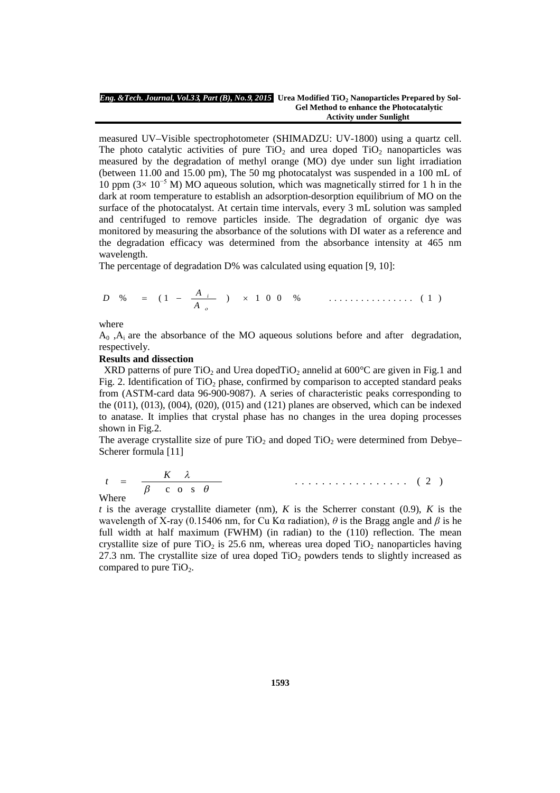#### *Eng. &Tech. Journal, Vol.3***3***, Part (B), No.***9***, 2015* **Urea Modified TiO<sup>2</sup> Nanoparticles Prepared by Sol-Gel Method to enhance the Photocatalytic Activity under Sunlight**

measured UV–Visible spectrophotometer (SHIMADZU: UV-1800) using a quartz cell. The photo catalytic activities of pure  $TiO<sub>2</sub>$  and urea doped  $TiO<sub>2</sub>$  nanoparticles was measured by the degradation of methyl orange (MO) dye under sun light irradiation (between 11.00 and 15.00 pm), The 50 mg photocatalyst was suspended in a 100 mL of 10 ppm  $(3 \times 10^{-5}$  M) MO aqueous solution, which was magnetically stirred for 1 h in the dark at room temperature to establish an adsorption-desorption equilibrium of MO on the surface of the photocatalyst. At certain time intervals, every 3 mL solution was sampled and centrifuged to remove particles inside. The degradation of organic dye was monitored by measuring the absorbance of the solutions with DI water as a reference and the degradation efficacy was determined from the absorbance intensity at 465 nm wavelength.

The percentage of degradation D% was calculated using equation [9, 10]:

$$
D \quad \% \quad = \quad (1 \quad - \quad \frac{A_{i}}{A_{o}} \quad ) \quad \times \quad 1 \quad 0 \quad 0 \quad \% \quad \quad \ldots \quad \ldots \quad \ldots \quad (1)
$$

where

 $A_0$ ,  $A_i$  are the absorbance of the MO aqueous solutions before and after degradation, respectively.

### **Results and dissection**

XRD patterns of pure TiO<sub>2</sub> and Urea dopedTiO<sub>2</sub> annelid at  $600^{\circ}$ C are given in Fig.1 and Fig. 2. Identification of  $TiO<sub>2</sub>$  phase, confirmed by comparison to accepted standard peaks from (ASTM-card data 96-900-9087). A series of characteristic peaks corresponding to the (011), (013), (004), (020), (015) and (121) planes are observed, which can be indexed to anatase. It implies that crystal phase has no changes in the urea doping processes shown in Fig.2.

The average crystallite size of pure  $TiO<sub>2</sub>$  and doped  $TiO<sub>2</sub>$  were determined from Debye– Scherer formula [11]

$$
t = \frac{K \lambda}{\beta \cos \theta} \qquad \qquad \ldots \qquad (2)
$$

Where

*t* is the average crystallite diameter (nm),  $K$  is the Scherrer constant (0.9),  $K$  is the wavelength of X-ray (0.15406 nm, for Cu Kα radiation), *θ* is the Bragg angle and *β* is he full width at half maximum (FWHM) (in radian) to the (110) reflection. The mean crystallite size of pure TiO<sub>2</sub> is 25.6 nm, whereas urea doped TiO<sub>2</sub> nanoparticles having 27.3 nm. The crystallite size of urea doped  $TiO<sub>2</sub>$  powders tends to slightly increased as compared to pure  $TiO<sub>2</sub>$ .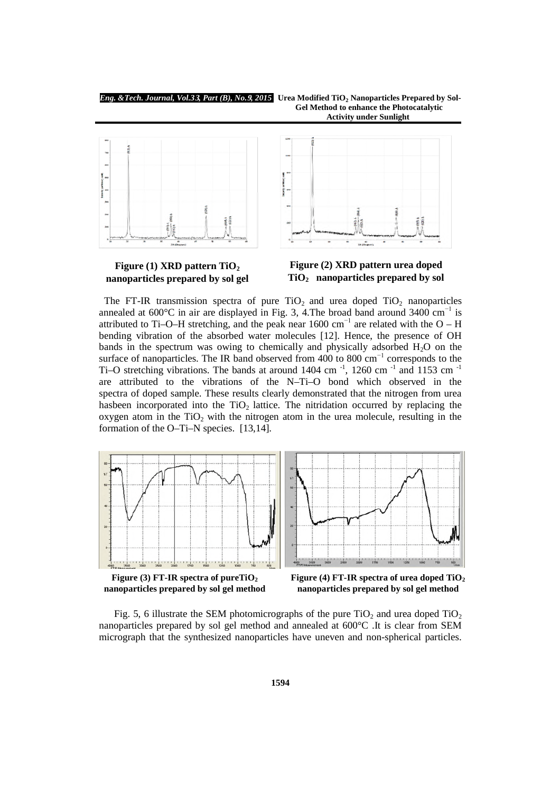

## **Figure (1) XRD pattern TiO<sup>2</sup> nanoparticles prepared by sol gel**





# **Figure (2) XRD pattern urea doped TiO<sup>2</sup> nanoparticles prepared by sol**

The FT-IR transmission spectra of pure  $TiO<sub>2</sub>$  and urea doped  $TiO<sub>2</sub>$  nanoparticles annealed at 600 $^{\circ}$ C in air are displayed in Fig. 3, 4. The broad band around 3400 cm<sup>-1</sup> is attributed to Ti–O–H stretching, and the peak near  $1600 \text{ cm}^{-1}$  are related with the O – H bending vibration of the absorbed water molecules [12]. Hence, the presence of OH bands in the spectrum was owing to chemically and physically adsorbed  $H_2O$  on the surface of nanoparticles. The IR band observed from  $400$  to  $800 \text{ cm}^{-1}$  corresponds to the Ti–O stretching vibrations. The bands at around 1404 cm<sup>-1</sup>, 1260 cm<sup>-1</sup> and 1153 cm<sup>-1</sup> are attributed to the vibrations of the N–Ti–O bond which observed in the spectra of doped sample. These results clearly demonstrated that the nitrogen from urea hasbeen incorporated into the  $TiO<sub>2</sub>$  lattice. The nitridation occurred by replacing the oxygen atom in the  $TiO<sub>2</sub>$  with the nitrogen atom in the urea molecule, resulting in the formation of the O–Ti–N species. [13,14].







**Figure (4) FT-IR spectra of urea doped TiO<sup>2</sup> nanoparticles prepared by sol gel method**

Fig. 5, 6 illustrate the SEM photomicrographs of the pure  $TiO<sub>2</sub>$  and urea doped  $TiO<sub>2</sub>$ nanoparticles prepared by sol gel method and annealed at 600°C .It is clear from SEM micrograph that the synthesized nanoparticles have uneven and non-spherical particles.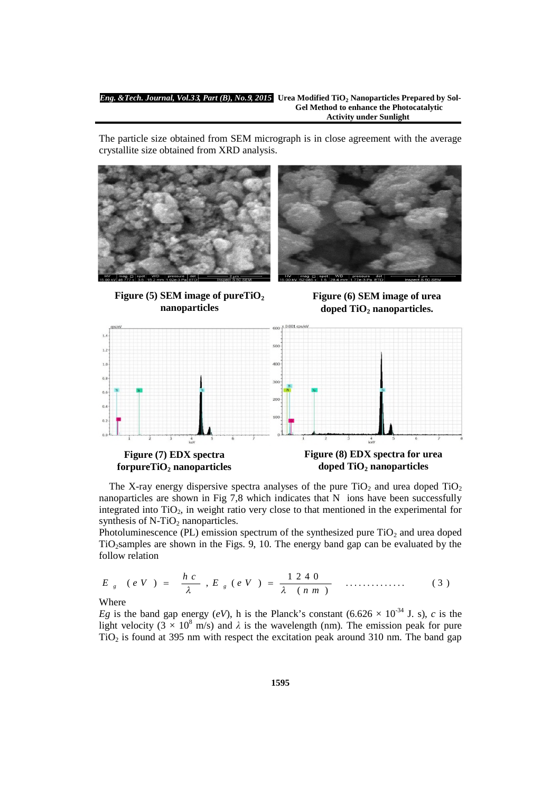#### *Eng. &Tech. Journal, Vol.3***3***, Part (B), No.***9***, 2015* **Urea Modified TiO<sup>2</sup> Nanoparticles Prepared by Sol-Gel Method to enhance the Photocatalytic Activity under Sunlight**

The particle size obtained from SEM micrograph is in close agreement with the average crystallite size obtained from XRD analysis.







**Figure (6) SEM image of urea doped TiO<sup>2</sup> nanoparticles.**



The X-ray energy dispersive spectra analyses of the pure  $TiO<sub>2</sub>$  and urea doped  $TiO<sub>2</sub>$ nanoparticles are shown in Fig 7,8 which indicates that N ions have been successfully integrated into  $TiO<sub>2</sub>$ , in weight ratio very close to that mentioned in the experimental for synthesis of  $N-TiO<sub>2</sub>$  nanoparticles.

Photoluminescence (PL) emission spectrum of the synthesized pure  $TiO<sub>2</sub>$  and urea doped  $TiO<sub>2</sub> samples$  are shown in the Figs. 9, 10. The energy band gap can be evaluated by the follow relation

$$
E_{g} (eV) = \frac{hc}{\lambda}, E_{g} (eV) = \frac{1240}{\lambda (nm)}
$$
 (3)

Where

*Eg* is the band gap energy (*eV*), h is the Planck's constant (6.626  $\times$  10<sup>-34</sup> J. s), *c* is the light velocity ( $3 \times 10^8$  m/s) and  $\lambda$  is the wavelength (nm). The emission peak for pure  $TiO<sub>2</sub>$  is found at 395 nm with respect the excitation peak around 310 nm. The band gap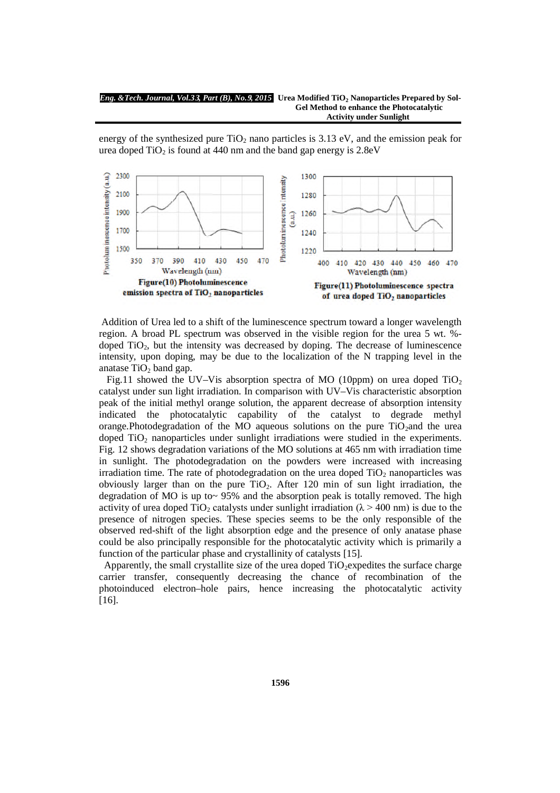**Gel Method to enhance the Photocatalytic Activity under Sunlight**

energy of the synthesized pure  $TiO<sub>2</sub>$  nano particles is 3.13 eV, and the emission peak for urea doped  $TiO<sub>2</sub>$  is found at 440 nm and the band gap energy is 2.8eV



Addition of Urea led to a shift of the luminescence spectrum toward a longer wavelength region. A broad PL spectrum was observed in the visible region for the urea 5 wt. % doped TiO<sub>2</sub>, but the intensity was decreased by doping. The decrease of luminescence intensity, upon doping, may be due to the localization of the N trapping level in the anatase TiO<sub>2</sub> band gap.

Fig.11 showed the UV–Vis absorption spectra of MO (10ppm) on urea doped TiO<sub>2</sub> catalyst under sun light irradiation. In comparison with UV–Vis characteristic absorption peak of the initial methyl orange solution, the apparent decrease of absorption intensity indicated the photocatalytic capability of the catalyst to degrade methyl orange.Photodegradation of the MO aqueous solutions on the pure  $TiO<sub>2</sub>$ and the urea doped TiO<sup>2</sup> nanoparticles under sunlight irradiations were studied in the experiments. Fig. 12 shows degradation variations of the MO solutions at 465 nm with irradiation time in sunlight. The photodegradation on the powders were increased with increasing irradiation time. The rate of photodegradation on the urea doped  $TiO<sub>2</sub>$  nanoparticles was obviously larger than on the pure  $TiO<sub>2</sub>$ . After 120 min of sun light irradiation, the degradation of MO is up to~ 95% and the absorption peak is totally removed. The high activity of urea doped TiO<sub>2</sub> catalysts under sunlight irradiation ( $\lambda > 400$  nm) is due to the presence of nitrogen species. These species seems to be the only responsible of the observed red-shift of the light absorption edge and the presence of only anatase phase could be also principally responsible for the photocatalytic activity which is primarily a function of the particular phase and crystallinity of catalysts [15].

Apparently, the small crystallite size of the urea doped  $TiO_2$ -expedites the surface charge carrier transfer, consequently decreasing the chance of recombination of the photoinduced electron–hole pairs, hence increasing the photocatalytic activity [16].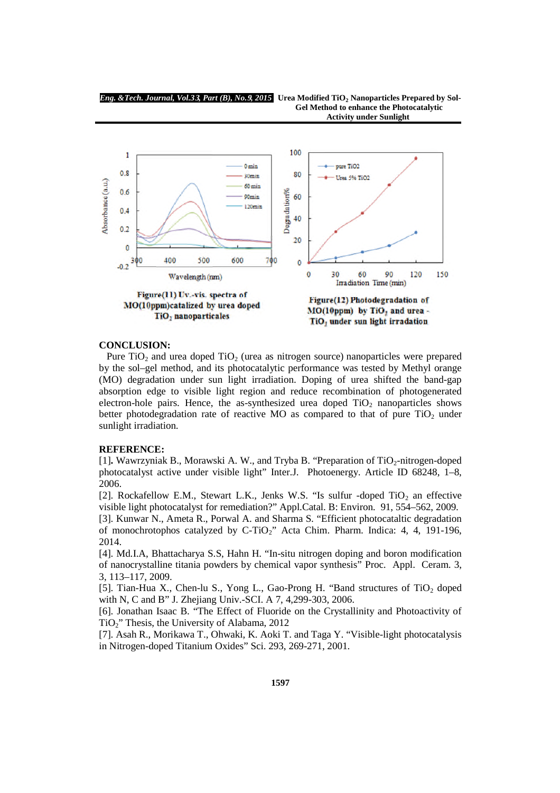*Eng. &Tech. Journal, Vol.3***3***, Part (B), No.***9***, 2015* **Urea Modified TiO<sup>2</sup> Nanoparticles Prepared by Sol-**



## **CONCLUSION:**

Pure TiO<sub>2</sub> and urea doped TiO<sub>2</sub> (urea as nitrogen source) nanoparticles were prepared by the sol–gel method, and its photocatalytic performance was tested by Methyl orange (MO) degradation under sun light irradiation. Doping of urea shifted the band-gap absorption edge to visible light region and reduce recombination of photogenerated electron-hole pairs. Hence, the as-synthesized urea doped  $TiO<sub>2</sub>$  nanoparticles shows better photodegradation rate of reactive MO as compared to that of pure  $TiO<sub>2</sub>$  under sunlight irradiation.

## **REFERENCE:**

[1]. Wawrzyniak B., Morawski A. W., and Tryba B. "Preparation of TiO<sub>2</sub>-nitrogen-doped photocatalyst active under visible light" Inter.J. Photoenergy. Article ID 68248, 1–8, 2006.

[2]. Rockafellow E.M., Stewart L.K., Jenks W.S. "Is sulfur -doped  $TiO<sub>2</sub>$  an effective visible light photocatalyst for remediation?" Appl.Catal. B: Environ. 91, 554–562, 2009.

[3]. Kunwar N., Ameta R., Porwal A. and Sharma S. "Efficient photocataltic degradation of monochrotophos catalyzed by C-TiO<sub>2</sub>" Acta Chim. Pharm. Indica: 4, 4, 191-196, 2014.

[4]. Md.I.A, Bhattacharya S.S, Hahn H. "In-situ nitrogen doping and boron modification of nanocrystalline titania powders by chemical vapor synthesis" Proc. Appl. Ceram. 3, 3, 113–117, 2009.

[5]. Tian-Hua X., Chen-lu S., Yong L., Gao-Prong H. "Band structures of  $TiO<sub>2</sub>$  doped with N, C and B" J. Zhejiang Univ.-SCI. A 7, 4,299-303, 2006.

[6]. Jonathan Isaac B. "The Effect of Fluoride on the Crystallinity and Photoactivity of TiO2" Thesis, the University of Alabama, 2012

[7]. Asah R., Morikawa T., Ohwaki, K. Aoki T. and Taga Y. "Visible-light photocatalysis in Nitrogen-doped Titanium Oxides" Sci. 293, 269-271, 2001.